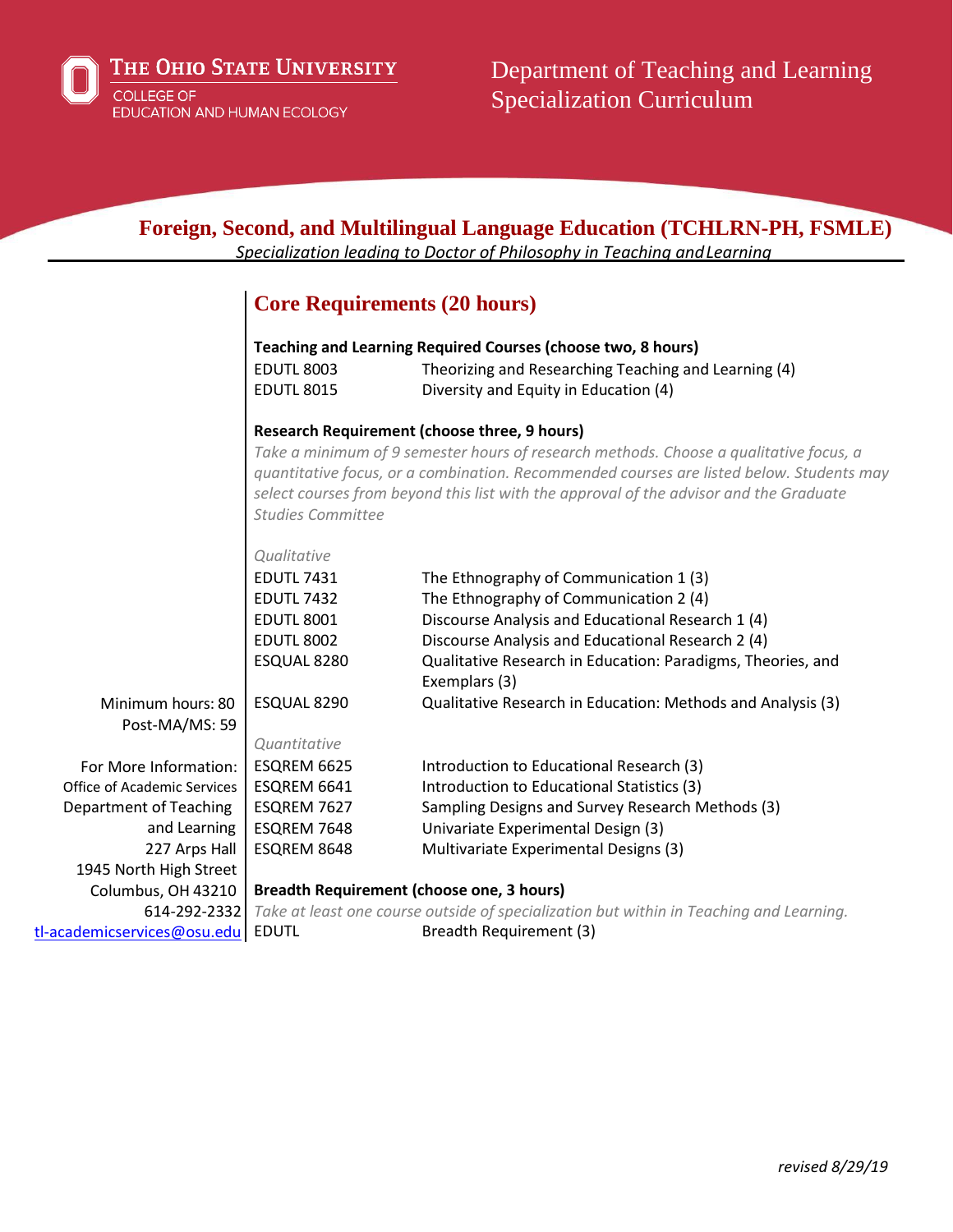

| Foreign, Second, and Multilingual Language Education (TCHLRN-PH, FSMLE)<br>Specialization leading to Doctor of Philosophy in Teaching and Learning |                                                                                                                                                                                                                                                                                                         |                                                                              |  |  |
|----------------------------------------------------------------------------------------------------------------------------------------------------|---------------------------------------------------------------------------------------------------------------------------------------------------------------------------------------------------------------------------------------------------------------------------------------------------------|------------------------------------------------------------------------------|--|--|
|                                                                                                                                                    |                                                                                                                                                                                                                                                                                                         |                                                                              |  |  |
|                                                                                                                                                    | <b>Core Requirements (20 hours)</b>                                                                                                                                                                                                                                                                     |                                                                              |  |  |
|                                                                                                                                                    | Teaching and Learning Required Courses (choose two, 8 hours)                                                                                                                                                                                                                                            |                                                                              |  |  |
|                                                                                                                                                    | <b>EDUTL 8003</b>                                                                                                                                                                                                                                                                                       | Theorizing and Researching Teaching and Learning (4)                         |  |  |
|                                                                                                                                                    | <b>EDUTL 8015</b>                                                                                                                                                                                                                                                                                       | Diversity and Equity in Education (4)                                        |  |  |
|                                                                                                                                                    | <b>Research Requirement (choose three, 9 hours)</b>                                                                                                                                                                                                                                                     |                                                                              |  |  |
|                                                                                                                                                    | Take a minimum of 9 semester hours of research methods. Choose a qualitative focus, a<br>quantitative focus, or a combination. Recommended courses are listed below. Students may<br>select courses from beyond this list with the approval of the advisor and the Graduate<br><b>Studies Committee</b> |                                                                              |  |  |
|                                                                                                                                                    | Qualitative                                                                                                                                                                                                                                                                                             |                                                                              |  |  |
|                                                                                                                                                    | <b>EDUTL 7431</b>                                                                                                                                                                                                                                                                                       | The Ethnography of Communication 1 (3)                                       |  |  |
|                                                                                                                                                    | <b>EDUTL 7432</b>                                                                                                                                                                                                                                                                                       | The Ethnography of Communication 2 (4)                                       |  |  |
|                                                                                                                                                    | <b>EDUTL 8001</b>                                                                                                                                                                                                                                                                                       | Discourse Analysis and Educational Research 1 (4)                            |  |  |
|                                                                                                                                                    | <b>EDUTL 8002</b>                                                                                                                                                                                                                                                                                       | Discourse Analysis and Educational Research 2 (4)                            |  |  |
|                                                                                                                                                    | ESQUAL 8280                                                                                                                                                                                                                                                                                             | Qualitative Research in Education: Paradigms, Theories, and<br>Exemplars (3) |  |  |
| Minimum hours: 80                                                                                                                                  | ESQUAL 8290                                                                                                                                                                                                                                                                                             | Qualitative Research in Education: Methods and Analysis (3)                  |  |  |
| Post-MA/MS: 59                                                                                                                                     |                                                                                                                                                                                                                                                                                                         |                                                                              |  |  |
|                                                                                                                                                    | Quantitative                                                                                                                                                                                                                                                                                            |                                                                              |  |  |
| For More Information:                                                                                                                              | ESQREM 6625                                                                                                                                                                                                                                                                                             | Introduction to Educational Research (3)                                     |  |  |
| Office of Academic Services                                                                                                                        | ESQREM 6641                                                                                                                                                                                                                                                                                             | Introduction to Educational Statistics (3)                                   |  |  |
| <b>Department of Teaching</b>                                                                                                                      | ESQREM 7627                                                                                                                                                                                                                                                                                             | Sampling Designs and Survey Research Methods (3)                             |  |  |
| and Learning                                                                                                                                       | ESQREM 7648                                                                                                                                                                                                                                                                                             | Univariate Experimental Design (3)                                           |  |  |
| 227 Arps Hall                                                                                                                                      | ESQREM 8648                                                                                                                                                                                                                                                                                             | Multivariate Experimental Designs (3)                                        |  |  |
| 1945 North High Street                                                                                                                             |                                                                                                                                                                                                                                                                                                         |                                                                              |  |  |
| Columbus, OH 43210                                                                                                                                 | <b>Breadth Requirement (choose one, 3 hours)</b>                                                                                                                                                                                                                                                        |                                                                              |  |  |
| 614-292-2332                                                                                                                                       | Take at least one course outside of specialization but within in Teaching and Learning.                                                                                                                                                                                                                 |                                                                              |  |  |
| tl-academicservices@osu.edu                                                                                                                        | <b>EDUTL</b>                                                                                                                                                                                                                                                                                            | Breadth Requirement (3)                                                      |  |  |